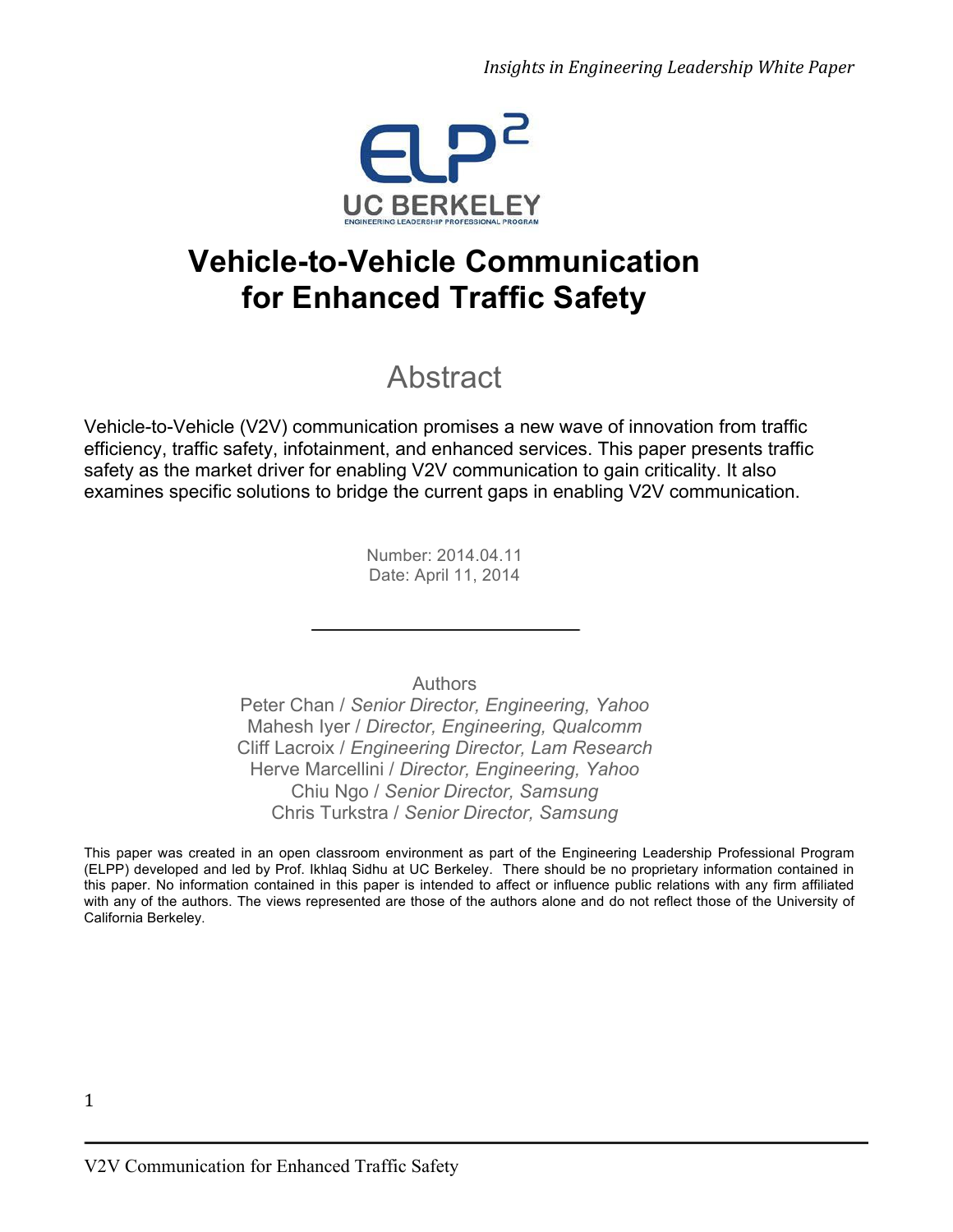

# **Vehicle-to-Vehicle Communication for Enhanced Traffic Safety**

### Abstract

Vehicle-to-Vehicle (V2V) communication promises a new wave of innovation from traffic efficiency, traffic safety, infotainment, and enhanced services. This paper presents traffic safety as the market driver for enabling V2V communication to gain criticality. It also examines specific solutions to bridge the current gaps in enabling V2V communication.

> Number: 2014.04.11 Date: April 11, 2014

> > Authors

Peter Chan / *Senior Director, Engineering, Yahoo* Mahesh Iyer / *Director, Engineering, Qualcomm* Cliff Lacroix / *Engineering Director, Lam Research* Herve Marcellini / *Director, Engineering, Yahoo* Chiu Ngo / *Senior Director, Samsung* Chris Turkstra / *Senior Director, Samsung*

This paper was created in an open classroom environment as part of the Engineering Leadership Professional Program (ELPP) developed and led by Prof. Ikhlaq Sidhu at UC Berkeley. There should be no proprietary information contained in this paper. No information contained in this paper is intended to affect or influence public relations with any firm affiliated with any of the authors. The views represented are those of the authors alone and do not reflect those of the University of California Berkeley.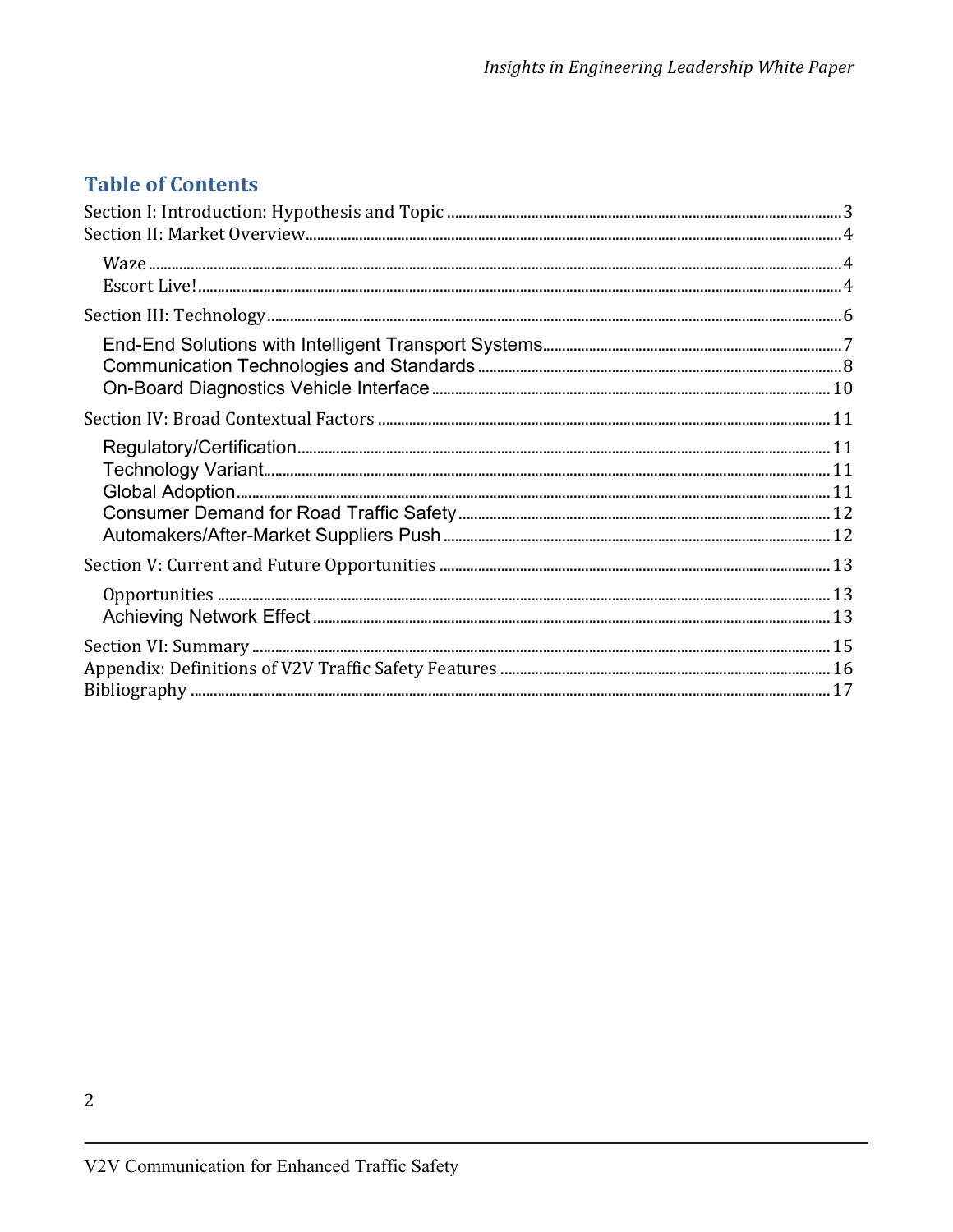#### **Table of Contents**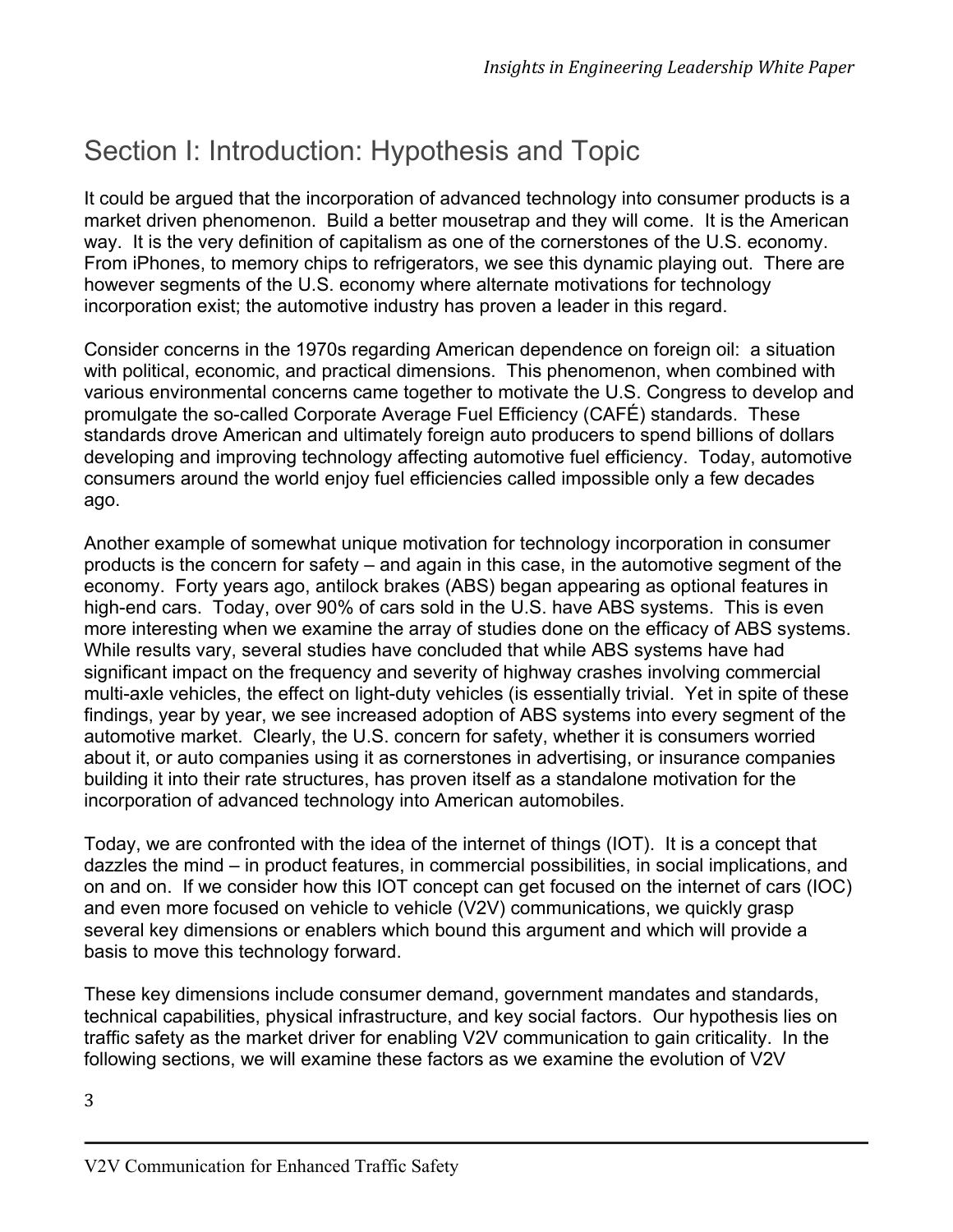# Section I: Introduction: Hypothesis and Topic

It could be argued that the incorporation of advanced technology into consumer products is a market driven phenomenon. Build a better mousetrap and they will come. It is the American way. It is the very definition of capitalism as one of the cornerstones of the U.S. economy. From iPhones, to memory chips to refrigerators, we see this dynamic playing out. There are however segments of the U.S. economy where alternate motivations for technology incorporation exist; the automotive industry has proven a leader in this regard.

Consider concerns in the 1970s regarding American dependence on foreign oil: a situation with political, economic, and practical dimensions. This phenomenon, when combined with various environmental concerns came together to motivate the U.S. Congress to develop and promulgate the so-called Corporate Average Fuel Efficiency (CAFÉ) standards. These standards drove American and ultimately foreign auto producers to spend billions of dollars developing and improving technology affecting automotive fuel efficiency. Today, automotive consumers around the world enjoy fuel efficiencies called impossible only a few decades ago.

Another example of somewhat unique motivation for technology incorporation in consumer products is the concern for safety – and again in this case, in the automotive segment of the economy. Forty years ago, antilock brakes (ABS) began appearing as optional features in high-end cars. Today, over 90% of cars sold in the U.S. have ABS systems. This is even more interesting when we examine the array of studies done on the efficacy of ABS systems. While results vary, several studies have concluded that while ABS systems have had significant impact on the frequency and severity of highway crashes involving commercial multi-axle vehicles, the effect on light-duty vehicles (is essentially trivial. Yet in spite of these findings, year by year, we see increased adoption of ABS systems into every segment of the automotive market. Clearly, the U.S. concern for safety, whether it is consumers worried about it, or auto companies using it as cornerstones in advertising, or insurance companies building it into their rate structures, has proven itself as a standalone motivation for the incorporation of advanced technology into American automobiles.

Today, we are confronted with the idea of the internet of things (IOT). It is a concept that dazzles the mind – in product features, in commercial possibilities, in social implications, and on and on. If we consider how this IOT concept can get focused on the internet of cars (IOC) and even more focused on vehicle to vehicle (V2V) communications, we quickly grasp several key dimensions or enablers which bound this argument and which will provide a basis to move this technology forward.

These key dimensions include consumer demand, government mandates and standards, technical capabilities, physical infrastructure, and key social factors. Our hypothesis lies on traffic safety as the market driver for enabling V2V communication to gain criticality. In the following sections, we will examine these factors as we examine the evolution of V2V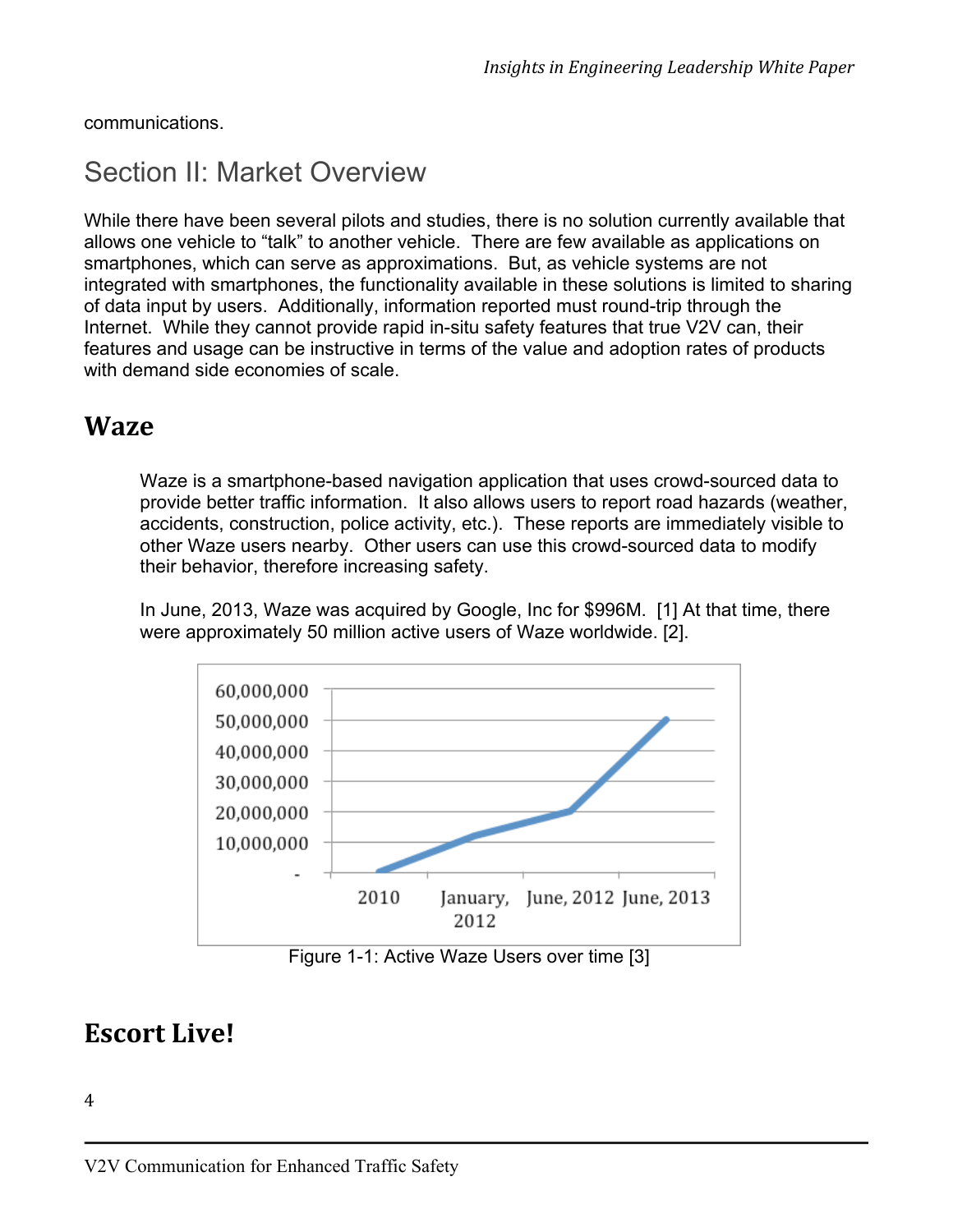communications.

#### Section II: Market Overview

While there have been several pilots and studies, there is no solution currently available that allows one vehicle to "talk" to another vehicle. There are few available as applications on smartphones, which can serve as approximations. But, as vehicle systems are not integrated with smartphones, the functionality available in these solutions is limited to sharing of data input by users. Additionally, information reported must round-trip through the Internet. While they cannot provide rapid in-situ safety features that true V2V can, their features and usage can be instructive in terms of the value and adoption rates of products with demand side economies of scale.

#### **Waze**

Waze is a smartphone-based navigation application that uses crowd-sourced data to provide better traffic information. It also allows users to report road hazards (weather, accidents, construction, police activity, etc.). These reports are immediately visible to other Waze users nearby. Other users can use this crowd-sourced data to modify their behavior, therefore increasing safety.

In June, 2013, Waze was acquired by Google, Inc for \$996M. [1] At that time, there were approximately 50 million active users of Waze worldwide. [2].



Figure 1-1: Active Waze Users over time [3]

#### **Escort Live!**

4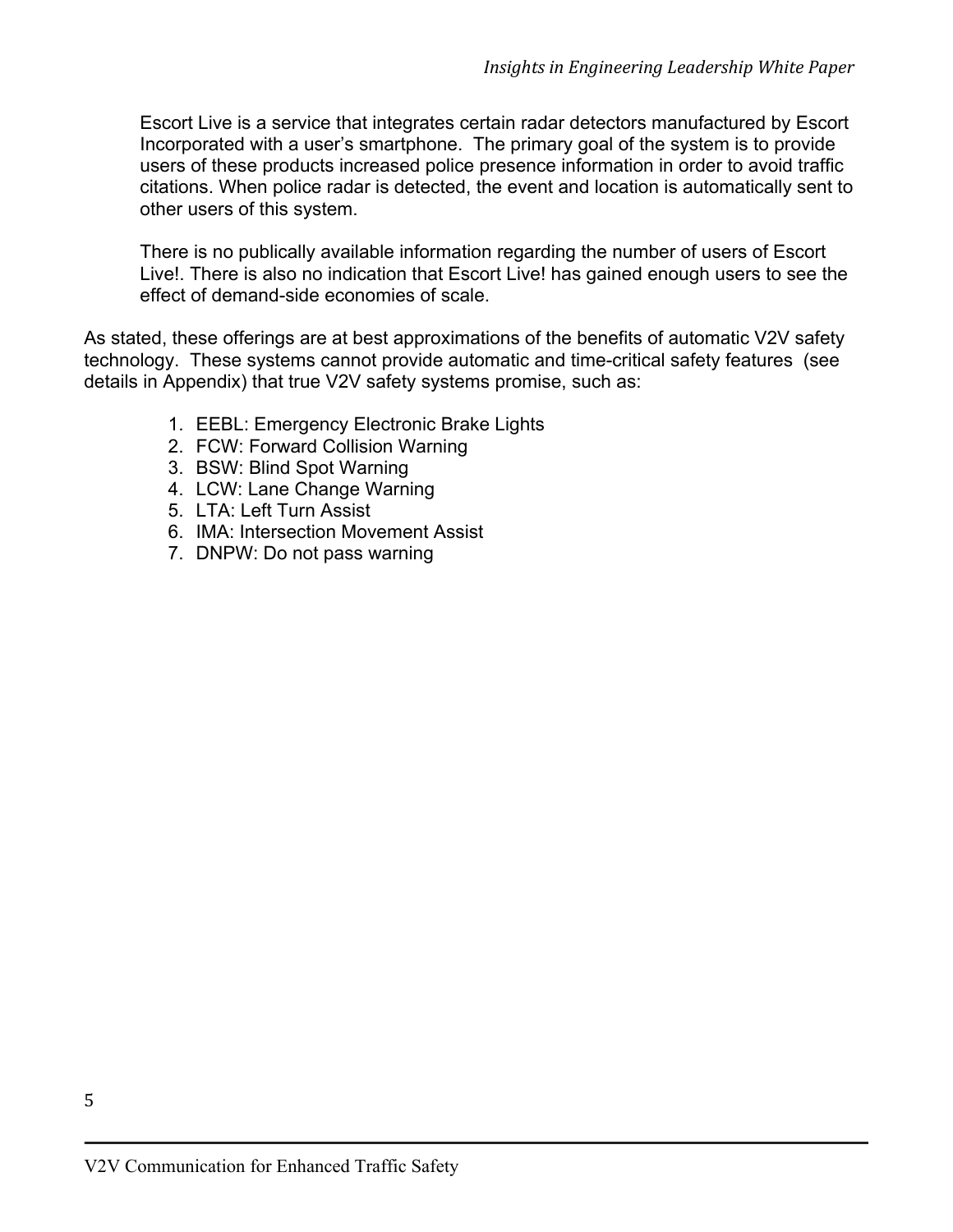Escort Live is a service that integrates certain radar detectors manufactured by Escort Incorporated with a user's smartphone. The primary goal of the system is to provide users of these products increased police presence information in order to avoid traffic citations. When police radar is detected, the event and location is automatically sent to other users of this system.

There is no publically available information regarding the number of users of Escort Live!. There is also no indication that Escort Live! has gained enough users to see the effect of demand-side economies of scale.

As stated, these offerings are at best approximations of the benefits of automatic V2V safety technology. These systems cannot provide automatic and time-critical safety features (see details in Appendix) that true V2V safety systems promise, such as:

- 1. EEBL: Emergency Electronic Brake Lights
- 2. FCW: Forward Collision Warning
- 3. BSW: Blind Spot Warning
- 4. LCW: Lane Change Warning
- 5. LTA: Left Turn Assist
- 6. IMA: Intersection Movement Assist
- 7. DNPW: Do not pass warning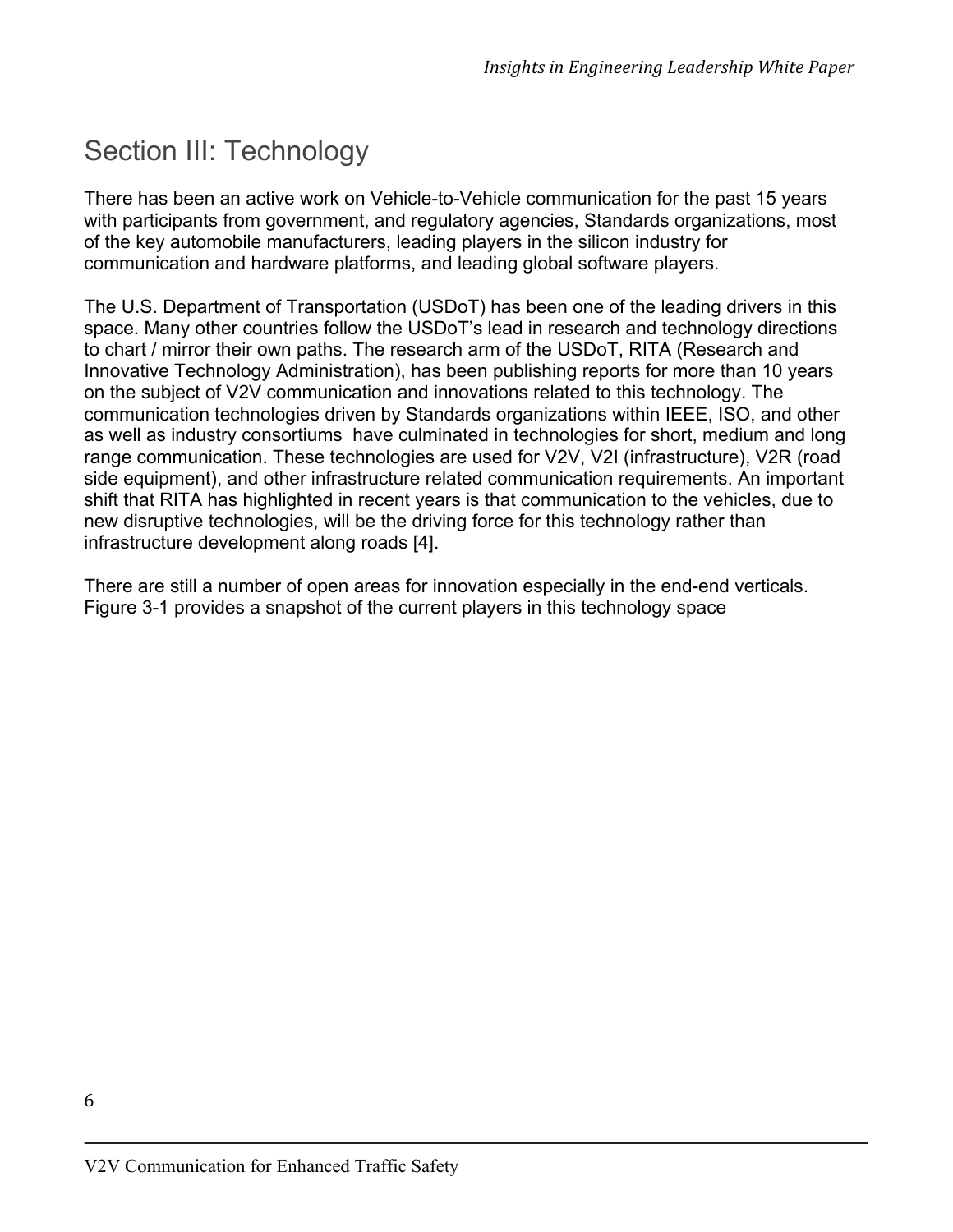## Section III: Technology

There has been an active work on Vehicle-to-Vehicle communication for the past 15 years with participants from government, and regulatory agencies, Standards organizations, most of the key automobile manufacturers, leading players in the silicon industry for communication and hardware platforms, and leading global software players.

The U.S. Department of Transportation (USDoT) has been one of the leading drivers in this space. Many other countries follow the USDoT's lead in research and technology directions to chart / mirror their own paths. The research arm of the USDoT, RITA (Research and Innovative Technology Administration), has been publishing reports for more than 10 years on the subject of V2V communication and innovations related to this technology. The communication technologies driven by Standards organizations within IEEE, ISO, and other as well as industry consortiums have culminated in technologies for short, medium and long range communication. These technologies are used for V2V, V2I (infrastructure), V2R (road side equipment), and other infrastructure related communication requirements. An important shift that RITA has highlighted in recent years is that communication to the vehicles, due to new disruptive technologies, will be the driving force for this technology rather than infrastructure development along roads [4].

There are still a number of open areas for innovation especially in the end-end verticals. Figure 3-1 provides a snapshot of the current players in this technology space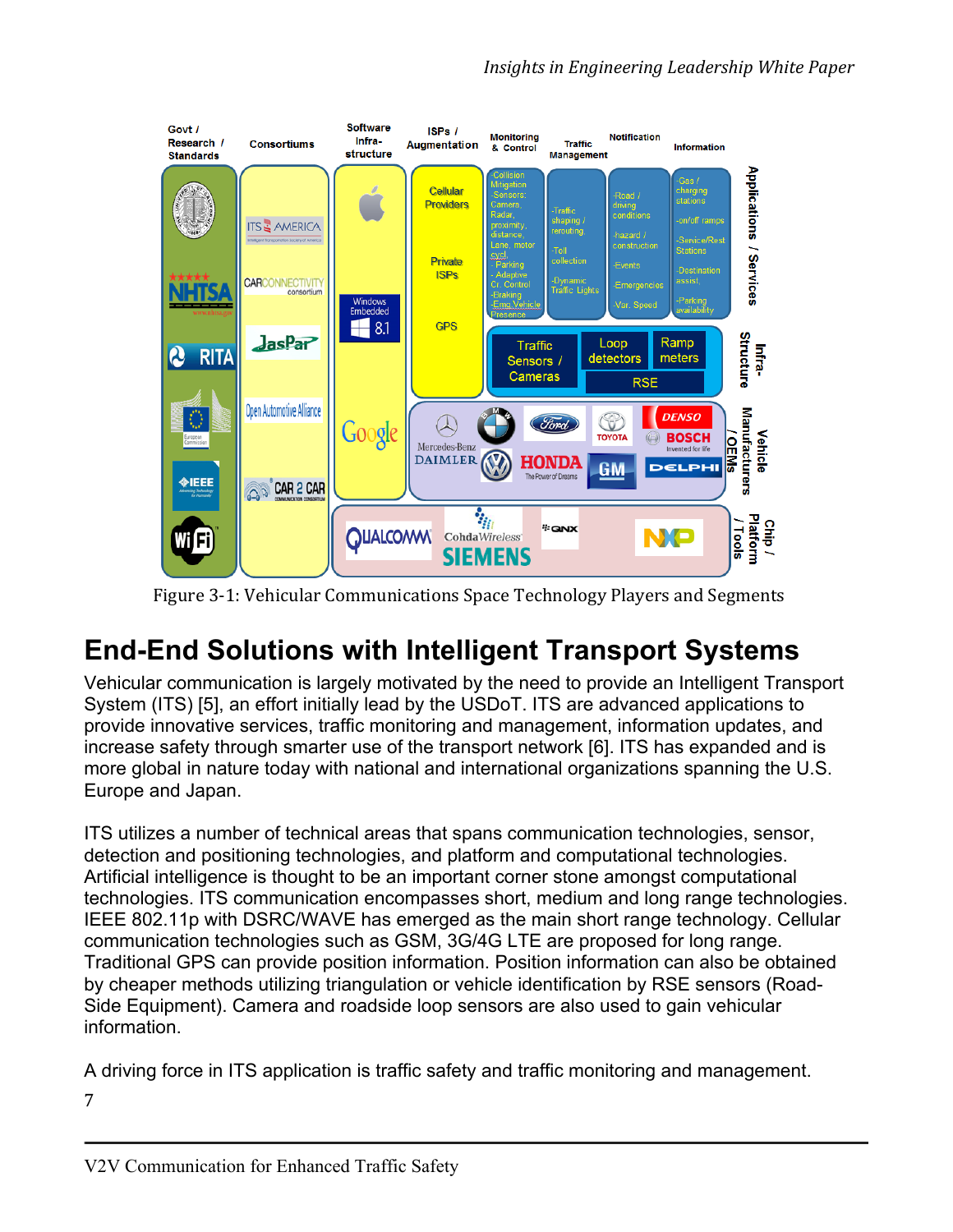

Figure 3-1: Vehicular Communications Space Technology Players and Segments

# **End-End Solutions with Intelligent Transport Systems**

Vehicular communication is largely motivated by the need to provide an Intelligent Transport System (ITS) [5], an effort initially lead by the USDoT. ITS are advanced applications to provide innovative services, traffic monitoring and management, information updates, and increase safety through smarter use of the transport network [6]. ITS has expanded and is more global in nature today with national and international organizations spanning the U.S. Europe and Japan.

ITS utilizes a number of technical areas that spans communication technologies, sensor, detection and positioning technologies, and platform and computational technologies. Artificial intelligence is thought to be an important corner stone amongst computational technologies. ITS communication encompasses short, medium and long range technologies. IEEE 802.11p with DSRC/WAVE has emerged as the main short range technology. Cellular communication technologies such as GSM, 3G/4G LTE are proposed for long range. Traditional GPS can provide position information. Position information can also be obtained by cheaper methods utilizing triangulation or vehicle identification by RSE sensors (Road-Side Equipment). Camera and roadside loop sensors are also used to gain vehicular information.

A driving force in ITS application is traffic safety and traffic monitoring and management.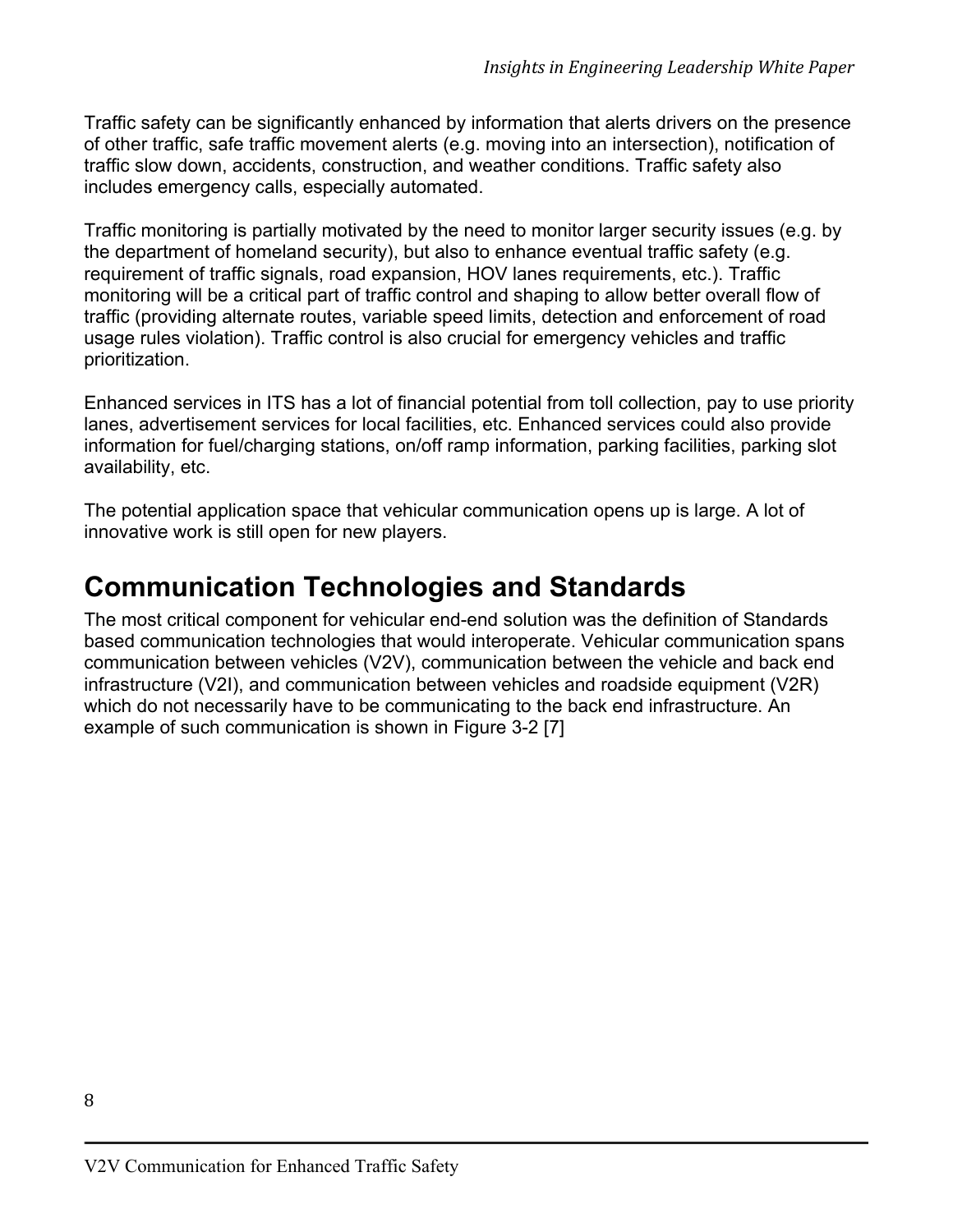Traffic safety can be significantly enhanced by information that alerts drivers on the presence of other traffic, safe traffic movement alerts (e.g. moving into an intersection), notification of traffic slow down, accidents, construction, and weather conditions. Traffic safety also includes emergency calls, especially automated.

Traffic monitoring is partially motivated by the need to monitor larger security issues (e.g. by the department of homeland security), but also to enhance eventual traffic safety (e.g. requirement of traffic signals, road expansion, HOV lanes requirements, etc.). Traffic monitoring will be a critical part of traffic control and shaping to allow better overall flow of traffic (providing alternate routes, variable speed limits, detection and enforcement of road usage rules violation). Traffic control is also crucial for emergency vehicles and traffic prioritization.

Enhanced services in ITS has a lot of financial potential from toll collection, pay to use priority lanes, advertisement services for local facilities, etc. Enhanced services could also provide information for fuel/charging stations, on/off ramp information, parking facilities, parking slot availability, etc.

The potential application space that vehicular communication opens up is large. A lot of innovative work is still open for new players.

#### **Communication Technologies and Standards**

The most critical component for vehicular end-end solution was the definition of Standards based communication technologies that would interoperate. Vehicular communication spans communication between vehicles (V2V), communication between the vehicle and back end infrastructure (V2I), and communication between vehicles and roadside equipment (V2R) which do not necessarily have to be communicating to the back end infrastructure. An example of such communication is shown in Figure 3-2 [7]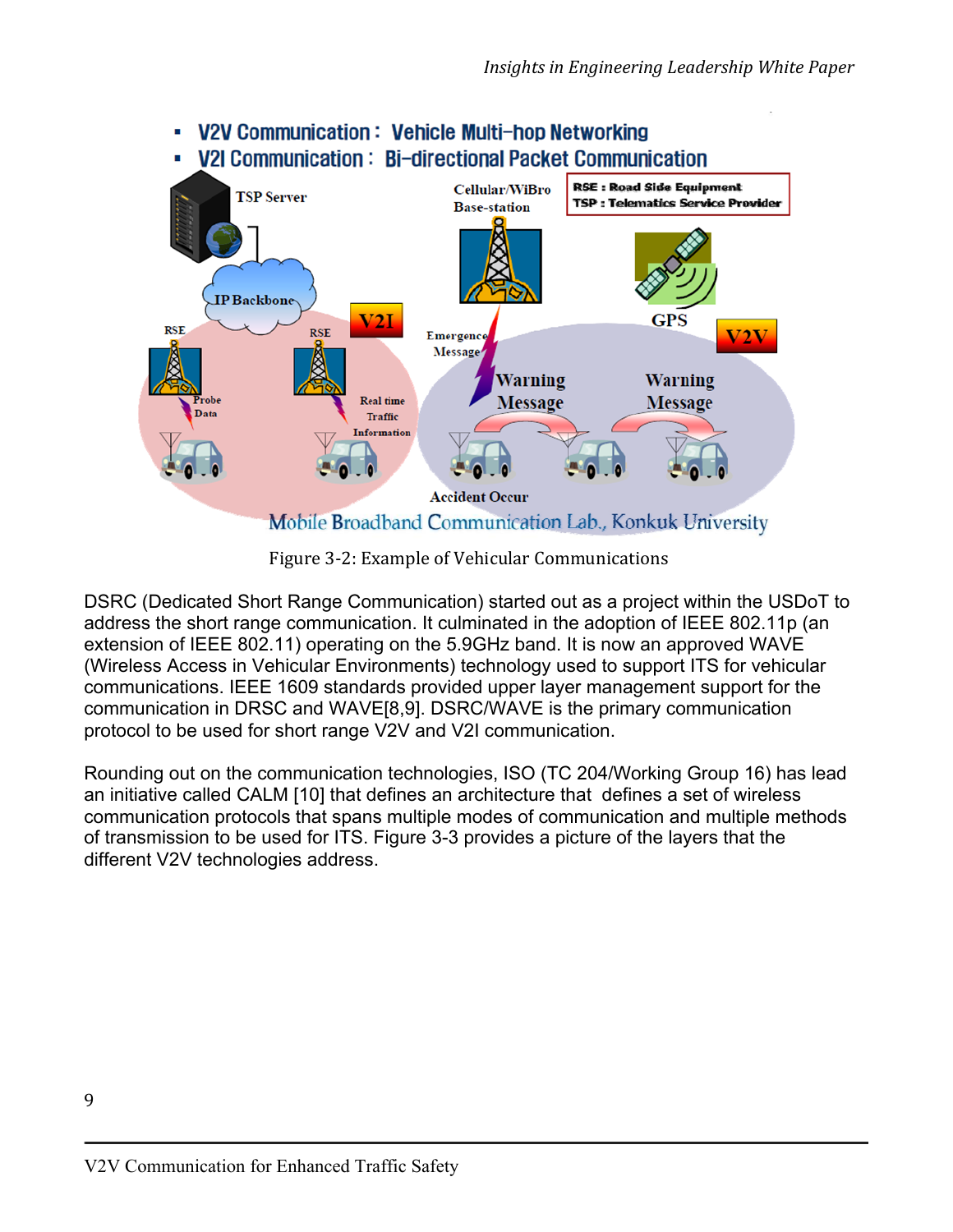

Figure 3-2: Example of Vehicular Communications

DSRC (Dedicated Short Range Communication) started out as a project within the USDoT to address the short range communication. It culminated in the adoption of IEEE 802.11p (an extension of IEEE 802.11) operating on the 5.9GHz band. It is now an approved WAVE (Wireless Access in Vehicular Environments) technology used to support ITS for vehicular communications. IEEE 1609 standards provided upper layer management support for the communication in DRSC and WAVE[8,9]. DSRC/WAVE is the primary communication protocol to be used for short range V2V and V2I communication.

Rounding out on the communication technologies, ISO (TC 204/Working Group 16) has lead an initiative called CALM [10] that defines an architecture that defines a set of wireless communication protocols that spans multiple modes of communication and multiple methods of transmission to be used for ITS. Figure 3-3 provides a picture of the layers that the different V2V technologies address.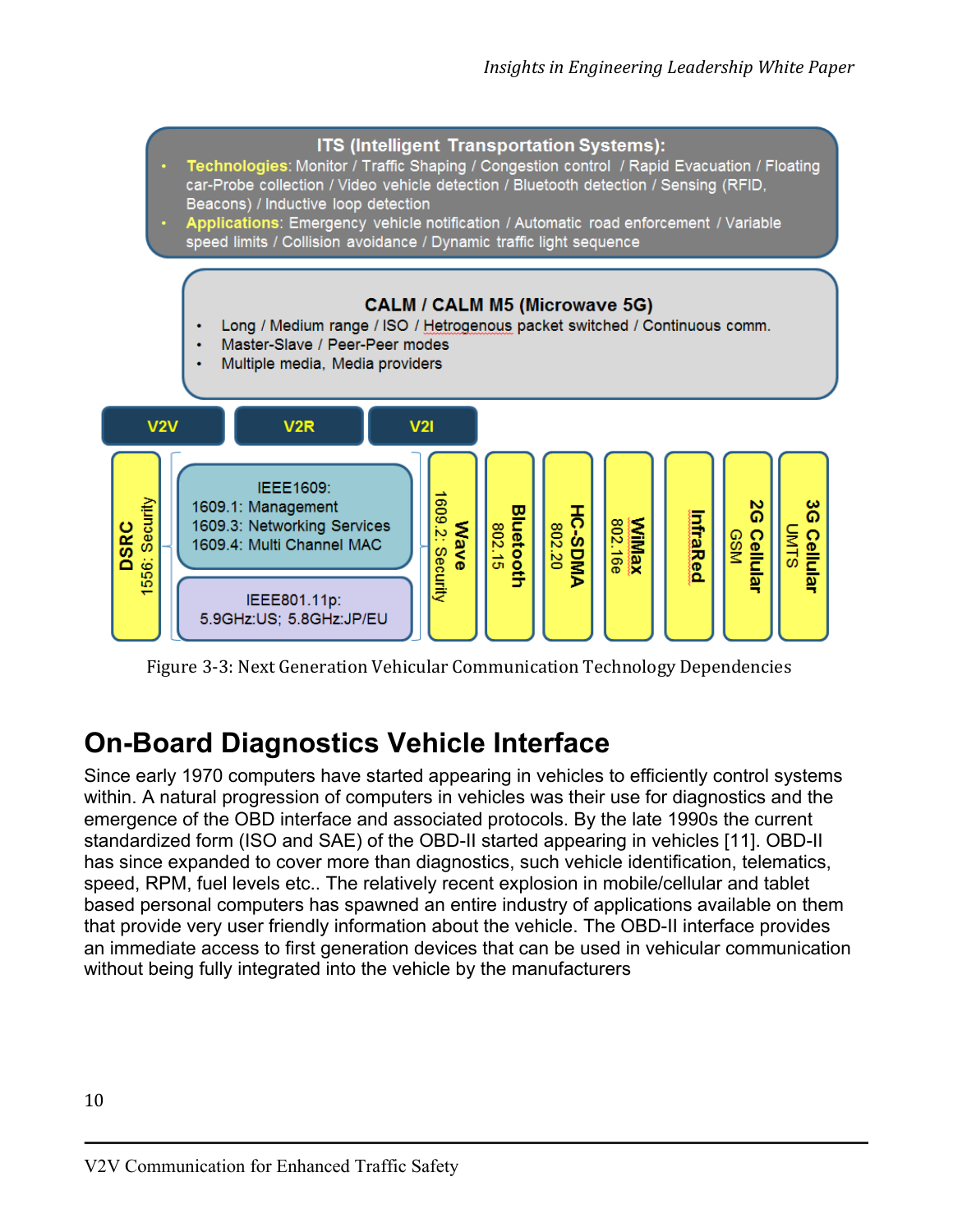



#### **On-Board Diagnostics Vehicle Interface**

Since early 1970 computers have started appearing in vehicles to efficiently control systems within. A natural progression of computers in vehicles was their use for diagnostics and the emergence of the OBD interface and associated protocols. By the late 1990s the current standardized form (ISO and SAE) of the OBD-II started appearing in vehicles [11]. OBD-II has since expanded to cover more than diagnostics, such vehicle identification, telematics, speed, RPM, fuel levels etc.. The relatively recent explosion in mobile/cellular and tablet based personal computers has spawned an entire industry of applications available on them that provide very user friendly information about the vehicle. The OBD-II interface provides an immediate access to first generation devices that can be used in vehicular communication without being fully integrated into the vehicle by the manufacturers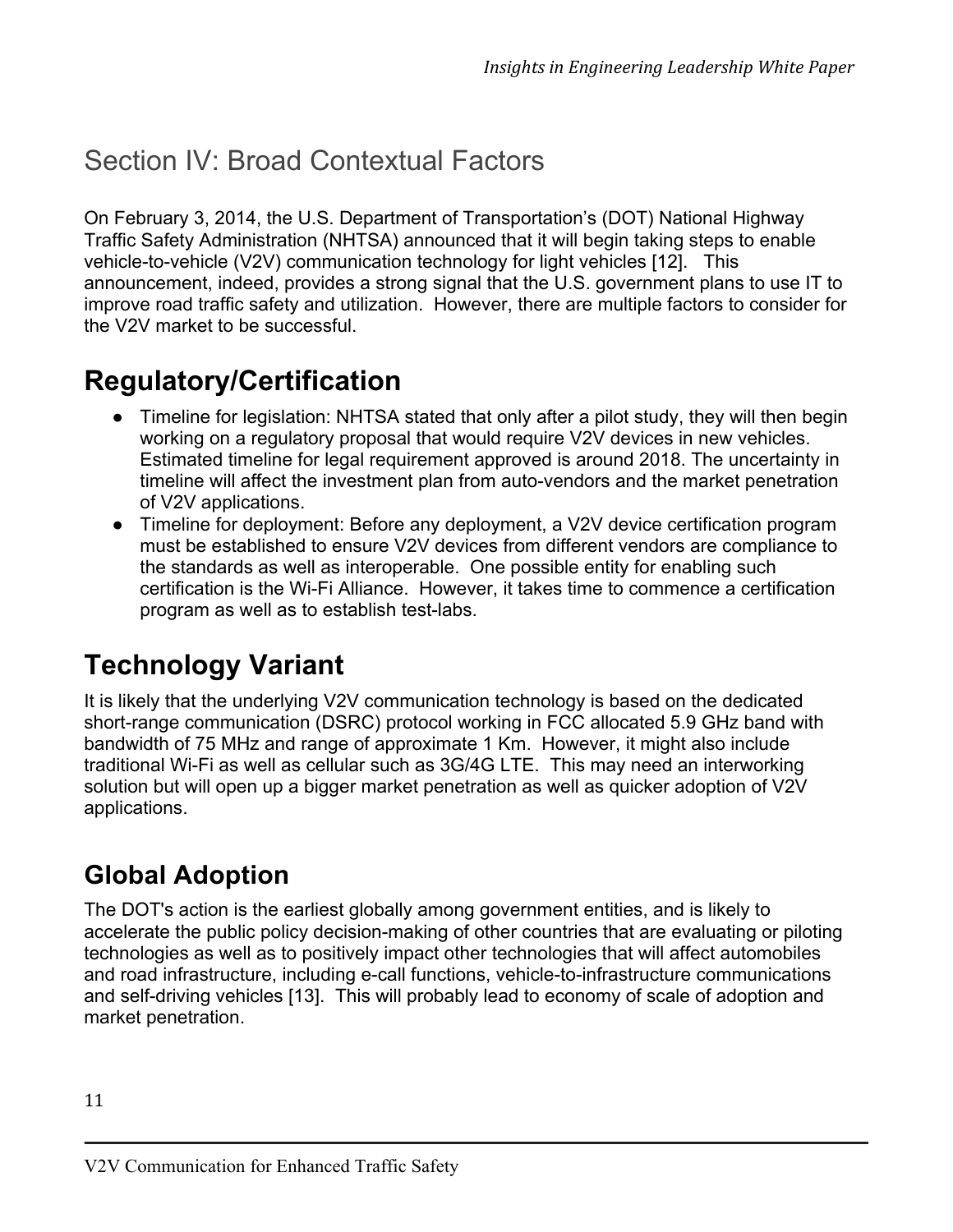## Section IV: Broad Contextual Factors

On February 3, 2014, the U.S. Department of Transportation's (DOT) National Highway Traffic Safety Administration (NHTSA) announced that it will begin taking steps to enable vehicle-to-vehicle (V2V) communication technology for light vehicles [12]. This announcement, indeed, provides a strong signal that the U.S. government plans to use IT to improve road traffic safety and utilization. However, there are multiple factors to consider for the V2V market to be successful.

### **Regulatory/Certification**

- Timeline for legislation: NHTSA stated that only after a pilot study, they will then begin working on a regulatory proposal that would require V2V devices in new vehicles. Estimated timeline for legal requirement approved is around 2018. The uncertainty in timeline will affect the investment plan from auto-vendors and the market penetration of V2V applications.
- Timeline for deployment: Before any deployment, a V2V device certification program must be established to ensure V2V devices from different vendors are compliance to the standards as well as interoperable. One possible entity for enabling such certification is the Wi-Fi Alliance. However, it takes time to commence a certification program as well as to establish test-labs.

# **Technology Variant**

It is likely that the underlying V2V communication technology is based on the dedicated short-range communication (DSRC) protocol working in FCC allocated 5.9 GHz band with bandwidth of 75 MHz and range of approximate 1 Km. However, it might also include traditional Wi-Fi as well as cellular such as 3G/4G LTE. This may need an interworking solution but will open up a bigger market penetration as well as quicker adoption of V2V applications.

#### **Global Adoption**

The DOT's action is the earliest globally among government entities, and is likely to accelerate the public policy decision-making of other countries that are evaluating or piloting technologies as well as to positively impact other technologies that will affect automobiles and road infrastructure, including e-call functions, vehicle-to-infrastructure communications and self-driving vehicles [13]. This will probably lead to economy of scale of adoption and market penetration.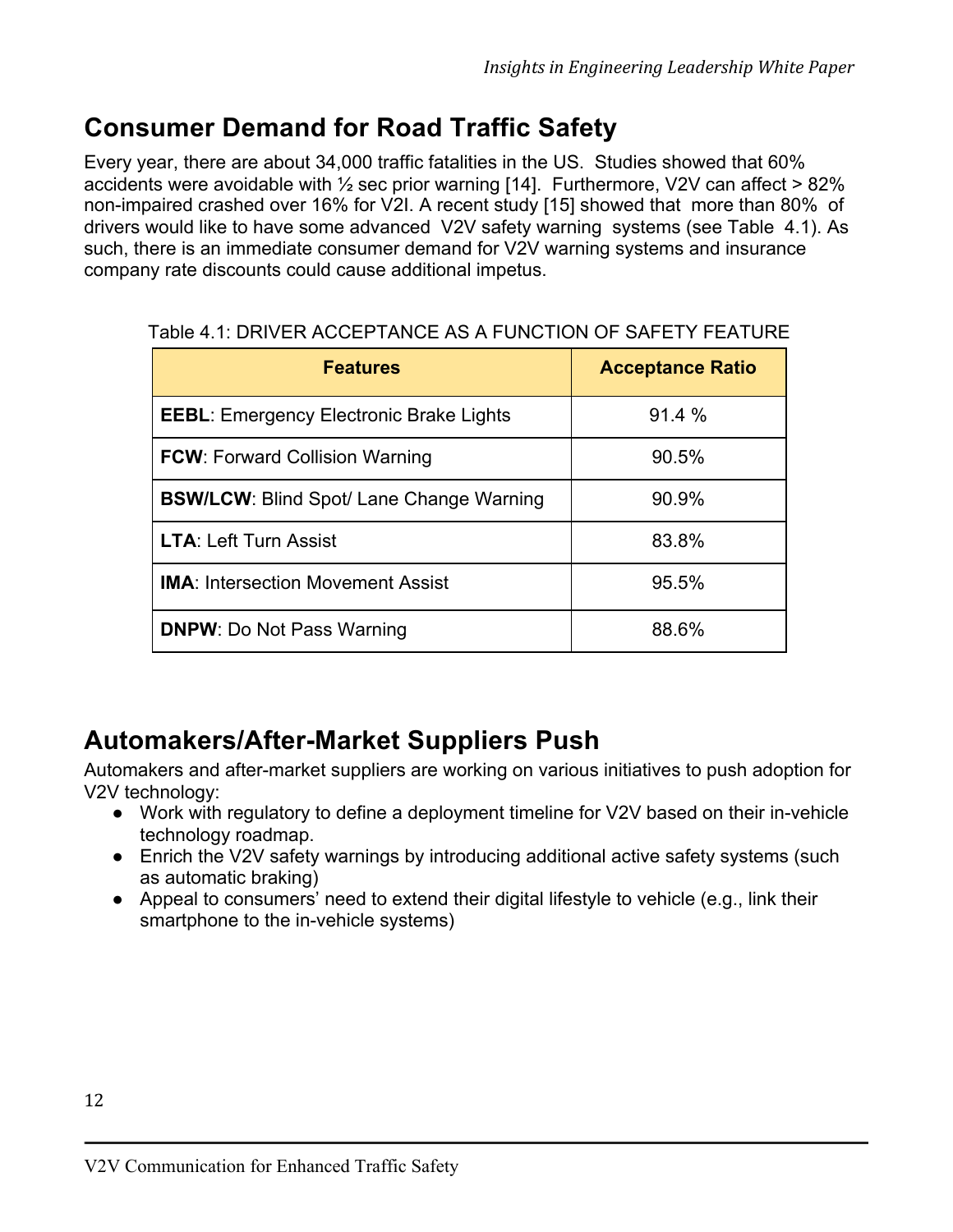#### **Consumer Demand for Road Traffic Safety**

Every year, there are about 34,000 traffic fatalities in the US. Studies showed that 60% accidents were avoidable with  $\frac{1}{2}$  sec prior warning [14]. Furthermore, V2V can affect > 82% non-impaired crashed over 16% for V2I. A recent study [15] showed that more than 80% of drivers would like to have some advanced V2V safety warning systems (see Table 4.1). As such, there is an immediate consumer demand for V2V warning systems and insurance company rate discounts could cause additional impetus.

#### Table 4.1: DRIVER ACCEPTANCE AS A FUNCTION OF SAFETY FEATURE

| <b>Features</b>                                 | <b>Acceptance Ratio</b> |
|-------------------------------------------------|-------------------------|
| <b>EEBL:</b> Emergency Electronic Brake Lights  | 91.4 %                  |
| <b>FCW: Forward Collision Warning</b>           | 90.5%                   |
| <b>BSW/LCW: Blind Spot/ Lane Change Warning</b> | 90.9%                   |
| <b>LTA: Left Turn Assist</b>                    | 83.8%                   |
| <b>IMA: Intersection Movement Assist</b>        | 95.5%                   |
| <b>DNPW: Do Not Pass Warning</b>                | 88.6%                   |

#### **Automakers/After-Market Suppliers Push**

Automakers and after-market suppliers are working on various initiatives to push adoption for V2V technology:

- Work with regulatory to define a deployment timeline for V2V based on their in-vehicle technology roadmap.
- Enrich the V2V safety warnings by introducing additional active safety systems (such as automatic braking)
- Appeal to consumers' need to extend their digital lifestyle to vehicle (e.g., link their smartphone to the in-vehicle systems)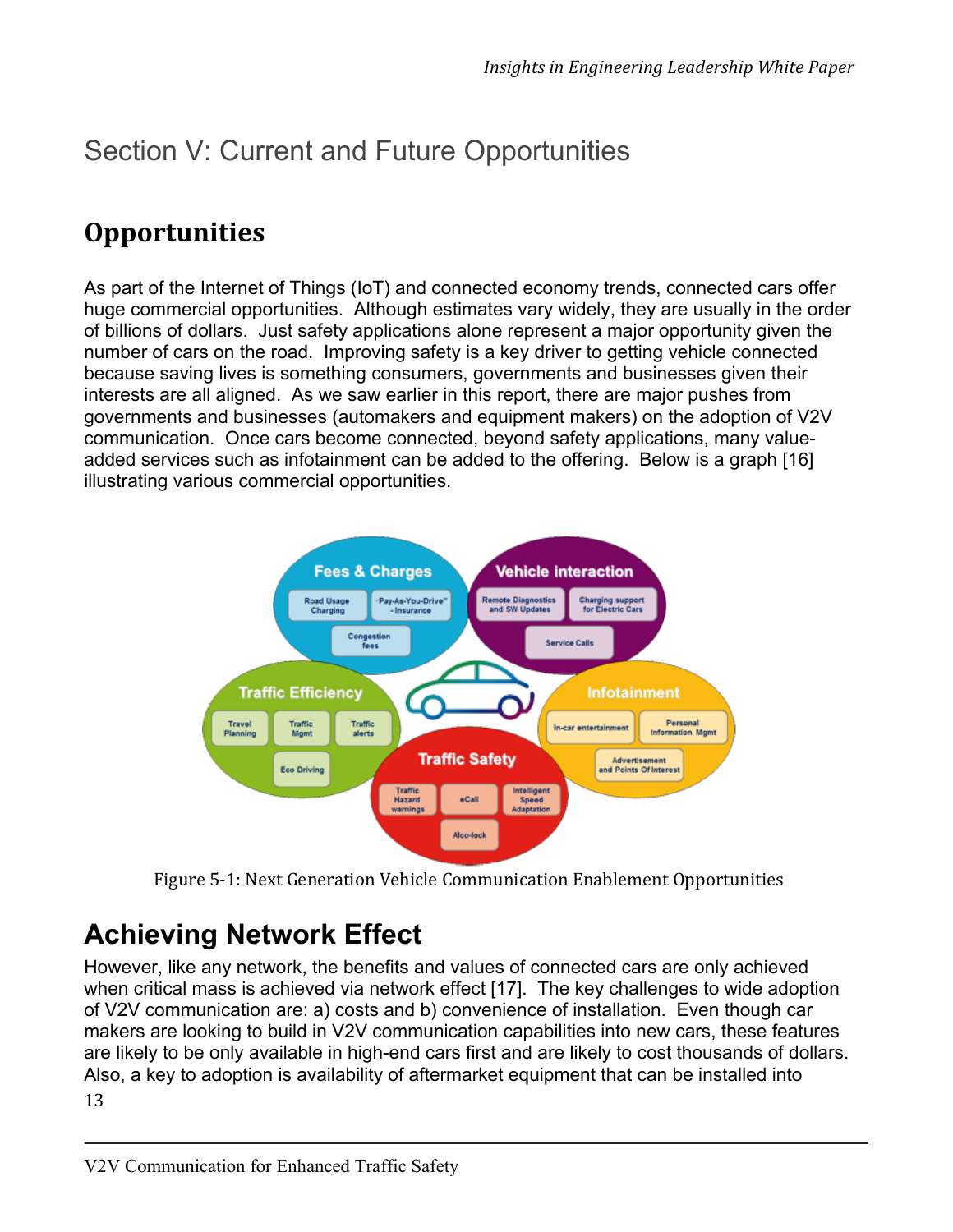# Section V: Current and Future Opportunities

### **Opportunities**

As part of the Internet of Things (IoT) and connected economy trends, connected cars offer huge commercial opportunities. Although estimates vary widely, they are usually in the order of billions of dollars. Just safety applications alone represent a major opportunity given the number of cars on the road. Improving safety is a key driver to getting vehicle connected because saving lives is something consumers, governments and businesses given their interests are all aligned. As we saw earlier in this report, there are major pushes from governments and businesses (automakers and equipment makers) on the adoption of V2V communication. Once cars become connected, beyond safety applications, many valueadded services such as infotainment can be added to the offering. Below is a graph [16] illustrating various commercial opportunities.



Figure 5-1: Next Generation Vehicle Communication Enablement Opportunities

# **Achieving Network Effect**

13 However, like any network, the benefits and values of connected cars are only achieved when critical mass is achieved via network effect [17]. The key challenges to wide adoption of V2V communication are: a) costs and b) convenience of installation. Even though car makers are looking to build in V2V communication capabilities into new cars, these features are likely to be only available in high-end cars first and are likely to cost thousands of dollars. Also, a key to adoption is availability of aftermarket equipment that can be installed into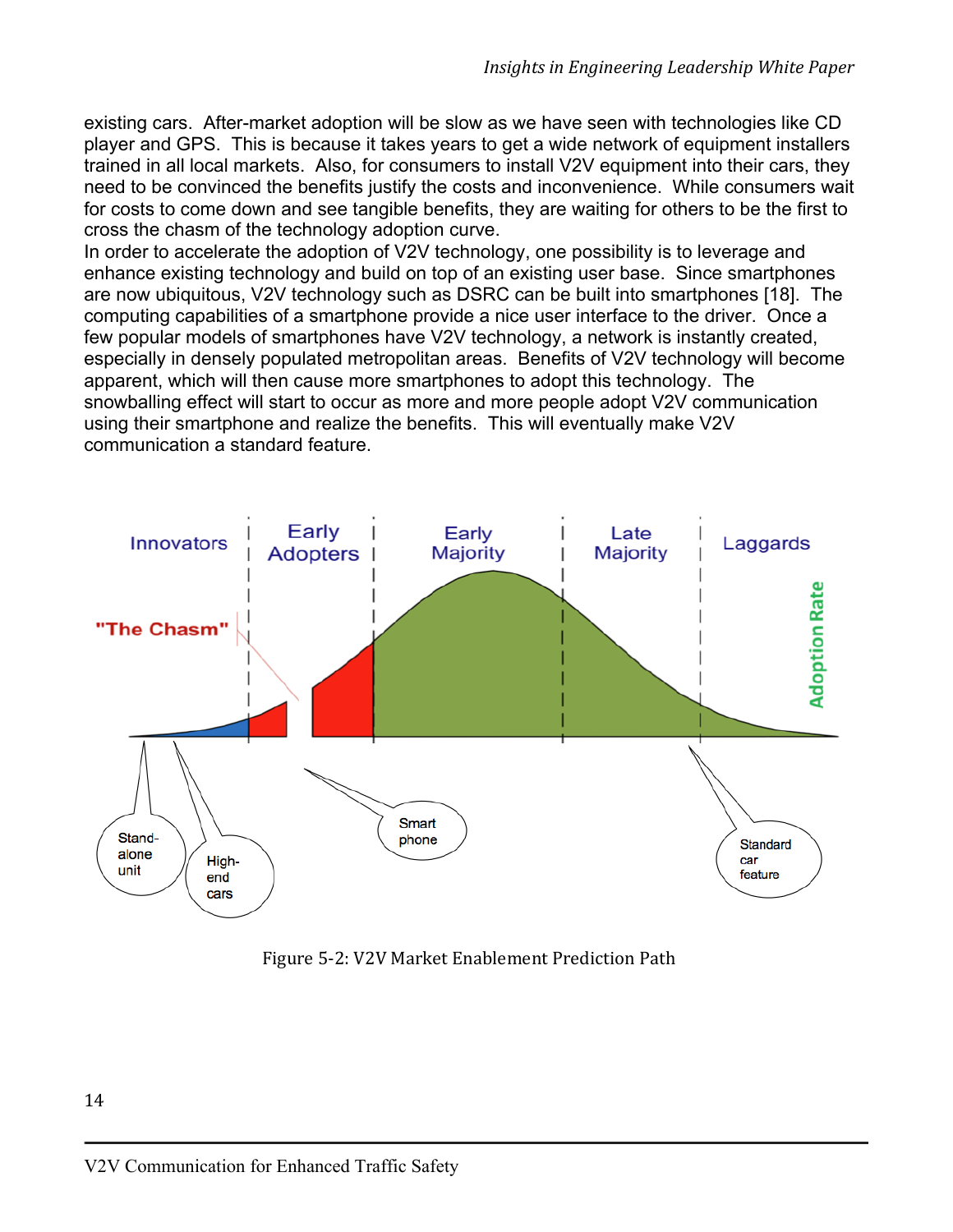existing cars. After-market adoption will be slow as we have seen with technologies like CD player and GPS. This is because it takes years to get a wide network of equipment installers trained in all local markets. Also, for consumers to install V2V equipment into their cars, they need to be convinced the benefits justify the costs and inconvenience. While consumers wait for costs to come down and see tangible benefits, they are waiting for others to be the first to cross the chasm of the technology adoption curve.

In order to accelerate the adoption of V2V technology, one possibility is to leverage and enhance existing technology and build on top of an existing user base. Since smartphones are now ubiquitous, V2V technology such as DSRC can be built into smartphones [18]. The computing capabilities of a smartphone provide a nice user interface to the driver. Once a few popular models of smartphones have V2V technology, a network is instantly created, especially in densely populated metropolitan areas. Benefits of V2V technology will become apparent, which will then cause more smartphones to adopt this technology. The snowballing effect will start to occur as more and more people adopt V2V communication using their smartphone and realize the benefits. This will eventually make V2V communication a standard feature.



Figure 5-2: V2V Market Enablement Prediction Path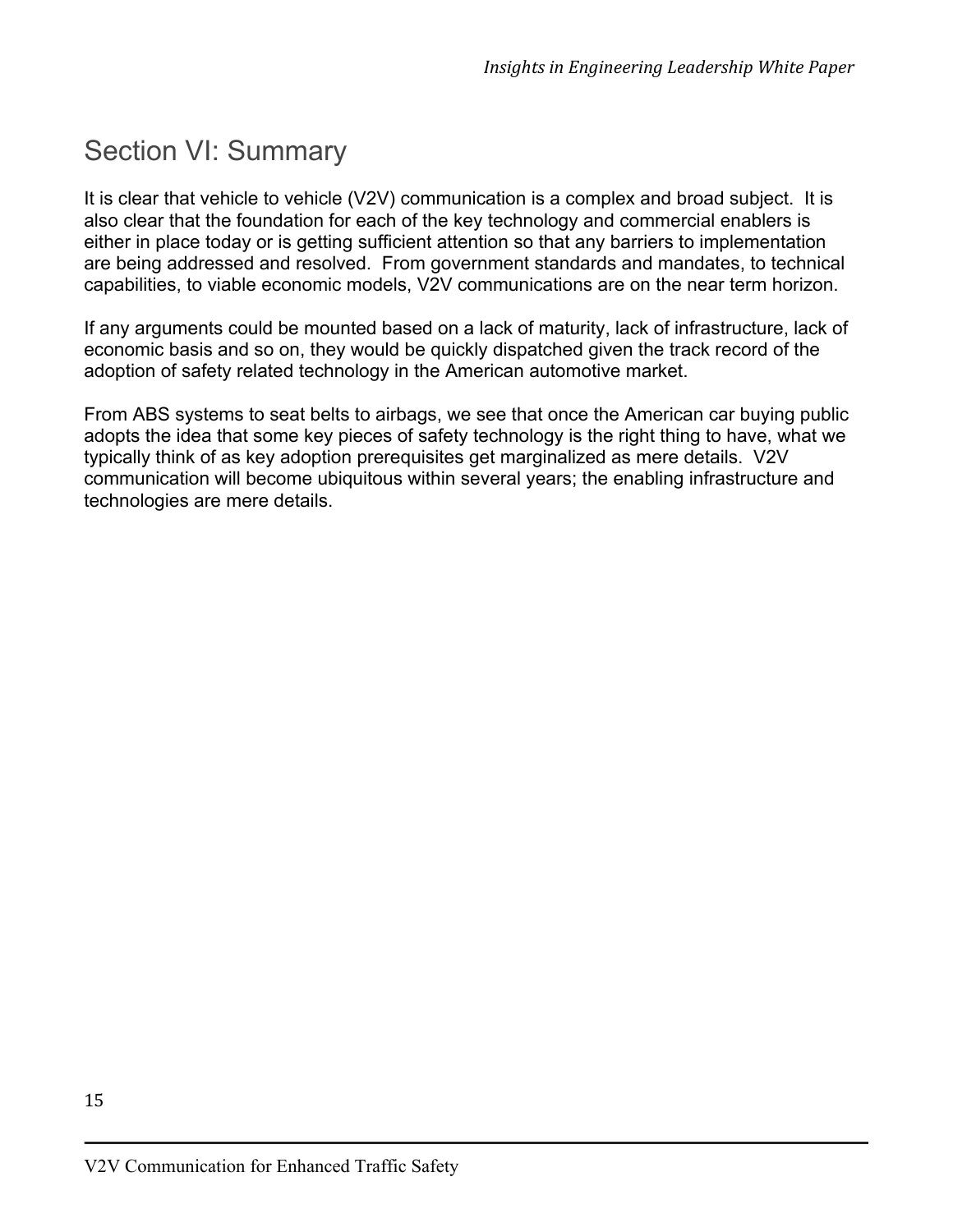## Section VI: Summary

It is clear that vehicle to vehicle (V2V) communication is a complex and broad subject. It is also clear that the foundation for each of the key technology and commercial enablers is either in place today or is getting sufficient attention so that any barriers to implementation are being addressed and resolved. From government standards and mandates, to technical capabilities, to viable economic models, V2V communications are on the near term horizon.

If any arguments could be mounted based on a lack of maturity, lack of infrastructure, lack of economic basis and so on, they would be quickly dispatched given the track record of the adoption of safety related technology in the American automotive market.

From ABS systems to seat belts to airbags, we see that once the American car buying public adopts the idea that some key pieces of safety technology is the right thing to have, what we typically think of as key adoption prerequisites get marginalized as mere details. V2V communication will become ubiquitous within several years; the enabling infrastructure and technologies are mere details.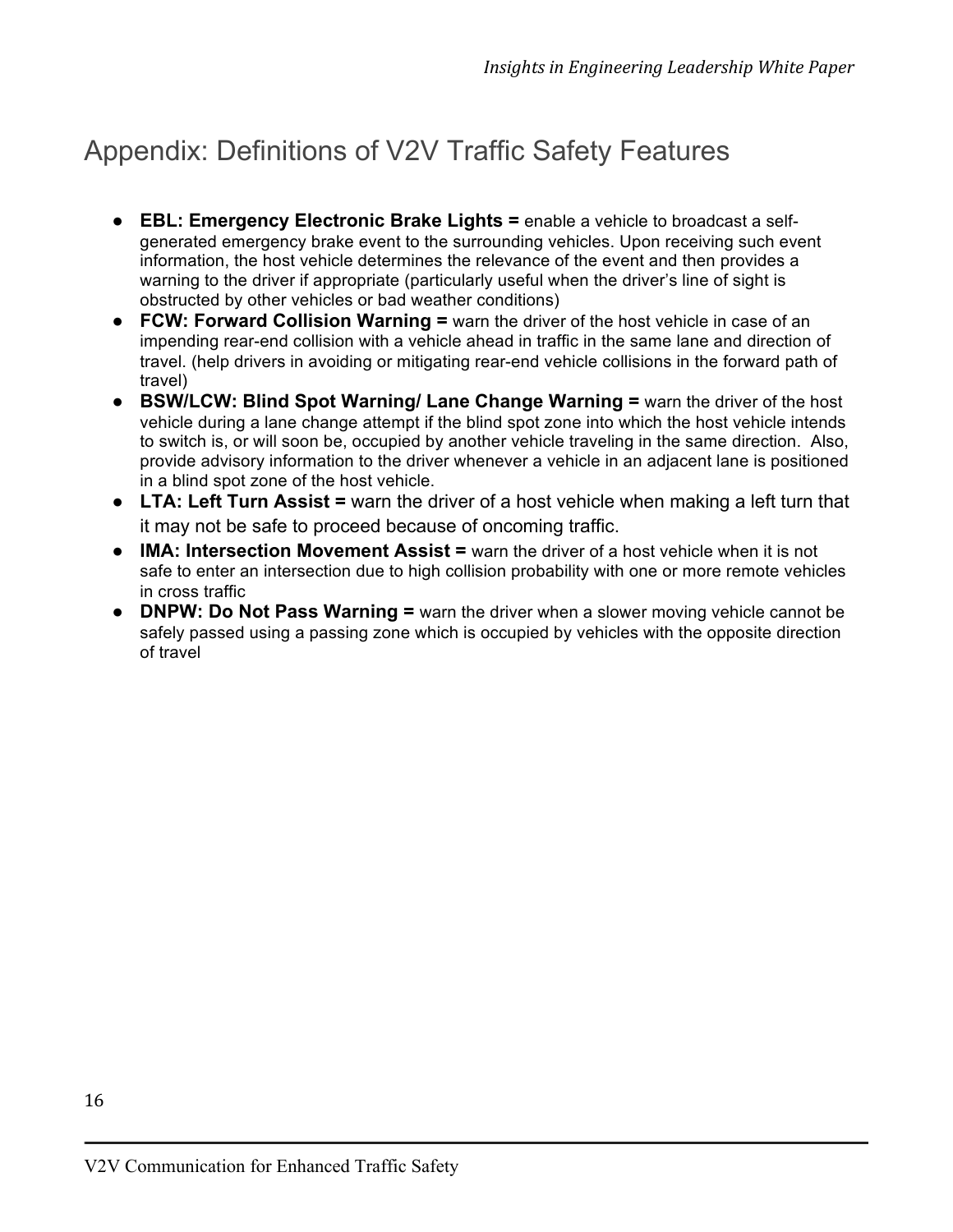# Appendix: Definitions of V2V Traffic Safety Features

- **EBL: Emergency Electronic Brake Lights =** enable a vehicle to broadcast a selfgenerated emergency brake event to the surrounding vehicles. Upon receiving such event information, the host vehicle determines the relevance of the event and then provides a warning to the driver if appropriate (particularly useful when the driver's line of sight is obstructed by other vehicles or bad weather conditions)
- **FCW: Forward Collision Warning =** warn the driver of the host vehicle in case of an impending rear-end collision with a vehicle ahead in traffic in the same lane and direction of travel. (help drivers in avoiding or mitigating rear-end vehicle collisions in the forward path of travel)
- **BSW/LCW: Blind Spot Warning/ Lane Change Warning =** warn the driver of the host vehicle during a lane change attempt if the blind spot zone into which the host vehicle intends to switch is, or will soon be, occupied by another vehicle traveling in the same direction. Also, provide advisory information to the driver whenever a vehicle in an adjacent lane is positioned in a blind spot zone of the host vehicle.
- **LTA: Left Turn Assist =** warn the driver of a host vehicle when making a left turn that it may not be safe to proceed because of oncoming traffic.
- **IMA: Intersection Movement Assist =** warn the driver of a host vehicle when it is not safe to enter an intersection due to high collision probability with one or more remote vehicles in cross traffic
- **DNPW: Do Not Pass Warning =** warn the driver when a slower moving vehicle cannot be safely passed using a passing zone which is occupied by vehicles with the opposite direction of travel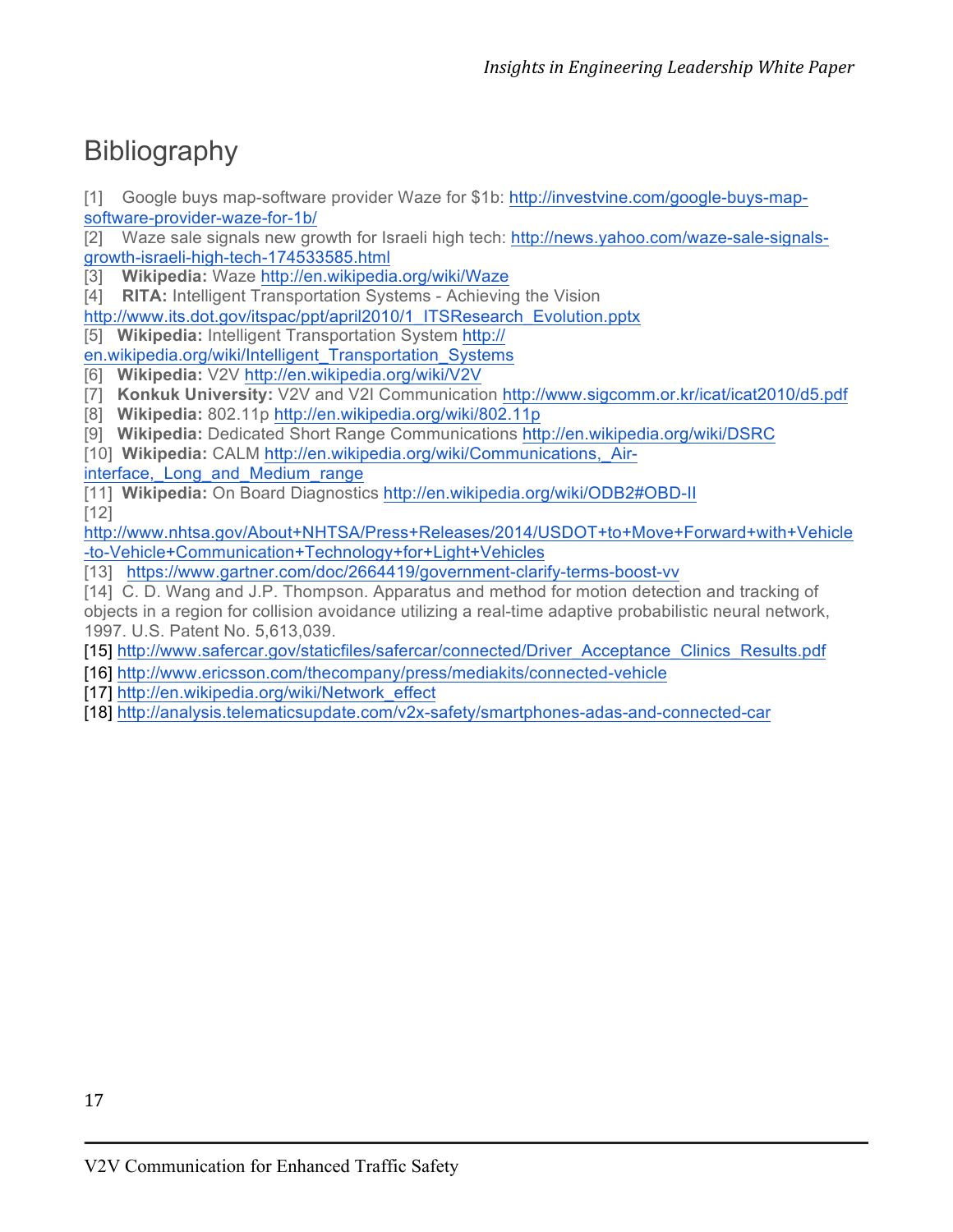#### **Bibliography**

[1] Google buys map-software provider Waze for \$1b: http://investvine.com/google-buys-mapsoftware-provider-waze-for-1b/

[2] Waze sale signals new growth for Israeli high tech: http://news.yahoo.com/waze-sale-signalsgrowth-israeli-high-tech-174533585.html

[3] **Wikipedia:** Waze http://en.wikipedia.org/wiki/Waze

[4] **RITA:** Intelligent Transportation Systems - Achieving the Vision

http://www.its.dot.gov/itspac/ppt/april2010/1\_ITSResearch\_Evolution.pptx

[5] **Wikipedia:** Intelligent Transportation System http://

en.wikipedia.org/wiki/Intelligent\_Transportation\_Systems

- [6] **Wikipedia:** V2V http://en.wikipedia.org/wiki/V2V
- [7] **Konkuk University:** V2V and V2I Communication http://www.sigcomm.or.kr/icat/icat2010/d5.pdf
- [8] **Wikipedia:** 802.11p http://en.wikipedia.org/wiki/802.11p
- [9] **Wikipedia:** Dedicated Short Range Communications http://en.wikipedia.org/wiki/DSRC

[10] **Wikipedia:** CALM http://en.wikipedia.org/wiki/Communications,\_Air-

interface, Long and Medium range

[11] **Wikipedia:** On Board Diagnostics http://en.wikipedia.org/wiki/ODB2#OBD-II [12]

http://www.nhtsa.gov/About+NHTSA/Press+Releases/2014/USDOT+to+Move+Forward+with+Vehicle -to-Vehicle+Communication+Technology+for+Light+Vehicles

[13] https://www.gartner.com/doc/2664419/government-clarify-terms-boost-vv

[14] C. D. Wang and J.P. Thompson. Apparatus and method for motion detection and tracking of objects in a region for collision avoidance utilizing a real-time adaptive probabilistic neural network, 1997. U.S. Patent No. 5,613,039.

[15] http://www.safercar.gov/staticfiles/safercar/connected/Driver\_Acceptance\_Clinics\_Results.pdf

- [16] http://www.ericsson.com/thecompany/press/mediakits/connected-vehicle
- [17] http://en.wikipedia.org/wiki/Network\_effect
- [18] http://analysis.telematicsupdate.com/v2x-safety/smartphones-adas-and-connected-car